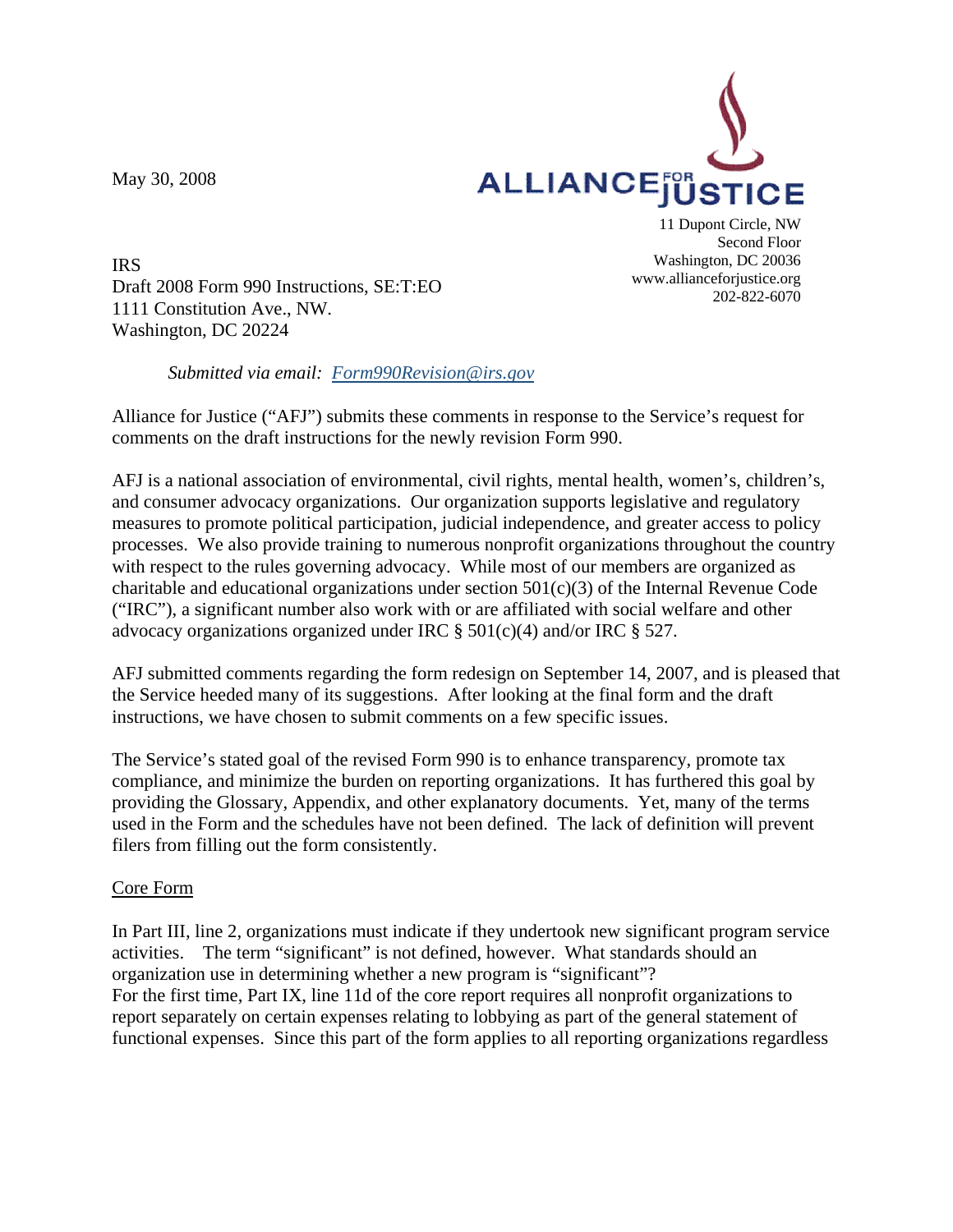May 30, 2008



IRS Draft 2008 Form 990 Instructions, SE:T:EO 1111 Constitution Ave., NW. Washington, DC 20224

11 Dupont Circle, NW Second Floor Washington, DC 20036 www.allianceforjustice.org 202-822-6070

## *Submitted via email: [Form990Revision@irs.gov](mailto:Form990Revision@irs.gov)*

Alliance for Justice ("AFJ") submits these comments in response to the Service's request for comments on the draft instructions for the newly revision Form 990.

AFJ is a national association of environmental, civil rights, mental health, women's, children's, and consumer advocacy organizations. Our organization supports legislative and regulatory measures to promote political participation, judicial independence, and greater access to policy processes. We also provide training to numerous nonprofit organizations throughout the country with respect to the rules governing advocacy. While most of our members are organized as charitable and educational organizations under section 501(c)(3) of the Internal Revenue Code ("IRC"), a significant number also work with or are affiliated with social welfare and other advocacy organizations organized under IRC § 501(c)(4) and/or IRC § 527.

AFJ submitted comments regarding the form redesign on September 14, 2007, and is pleased that the Service heeded many of its suggestions. After looking at the final form and the draft instructions, we have chosen to submit comments on a few specific issues.

The Service's stated goal of the revised Form 990 is to enhance transparency, promote tax compliance, and minimize the burden on reporting organizations. It has furthered this goal by providing the Glossary, Appendix, and other explanatory documents. Yet, many of the terms used in the Form and the schedules have not been defined. The lack of definition will prevent filers from filling out the form consistently.

## Core Form

In Part III, line 2, organizations must indicate if they undertook new significant program service activities. The term "significant" is not defined, however. What standards should an organization use in determining whether a new program is "significant"? For the first time, Part IX, line 11d of the core report requires all nonprofit organizations to report separately on certain expenses relating to lobbying as part of the general statement of functional expenses. Since this part of the form applies to all reporting organizations regardless